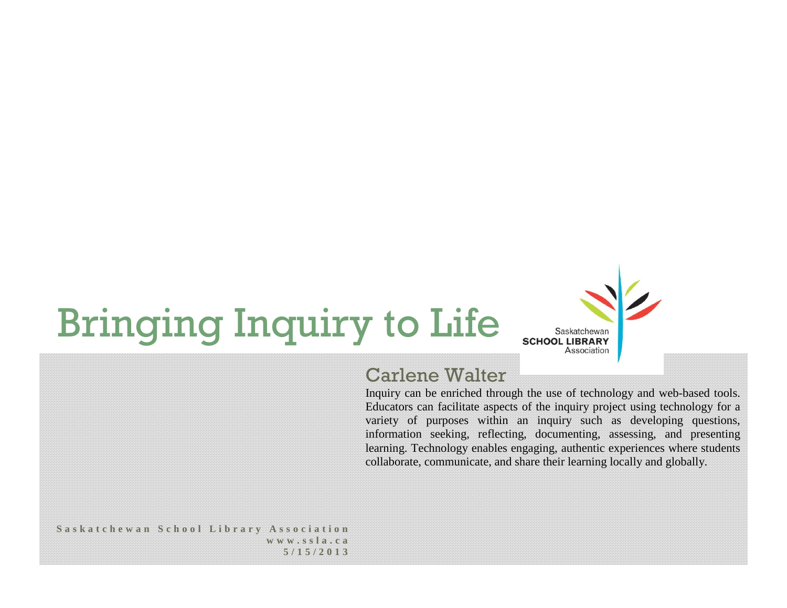## Bringing Inquiry to Life



## Carlene Walter

Inquiry can be enriched through the use of technology and web-based tools. Educators can facilitate aspects of the inquiry project using technology for a variety of purposes within an inquiry such as developing questions, information seeking, reflecting, documenting, assessing, and presenting learning. Technology enables engaging, authentic experiences where students collaborate, communicate, and share their learning locally and globally.

## **Saskatchewan School Library Association www.ssla.ca 5/15/2013**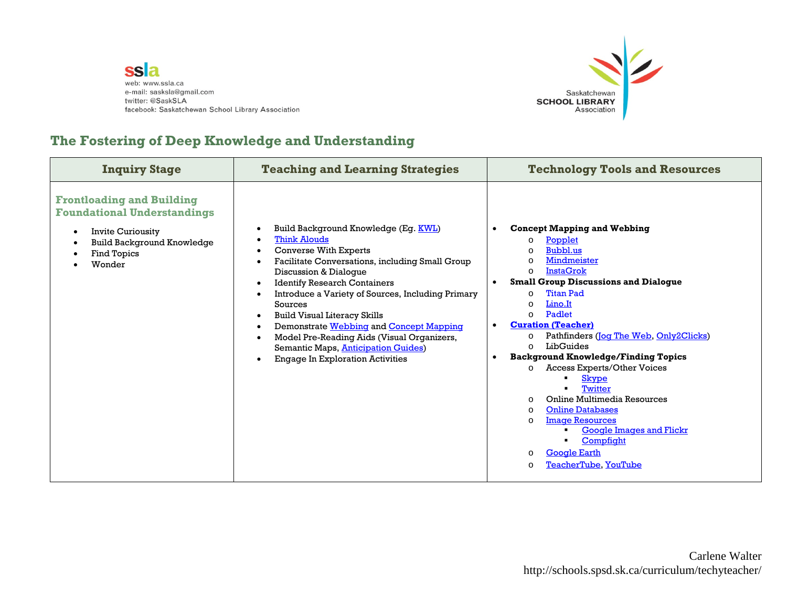



## **The Fostering of Deep Knowledge and Understanding**

| <b>Inquiry Stage</b>                                                                                                                                                          | <b>Teaching and Learning Strategies</b>                                                                                                                                                                                                                                                                                                                                                                                                                                                                  | <b>Technology Tools and Resources</b>                                                                                                                                                                                                                                                                                                                                                                                                                                                                                                                                                                                                                                                                                                                               |
|-------------------------------------------------------------------------------------------------------------------------------------------------------------------------------|----------------------------------------------------------------------------------------------------------------------------------------------------------------------------------------------------------------------------------------------------------------------------------------------------------------------------------------------------------------------------------------------------------------------------------------------------------------------------------------------------------|---------------------------------------------------------------------------------------------------------------------------------------------------------------------------------------------------------------------------------------------------------------------------------------------------------------------------------------------------------------------------------------------------------------------------------------------------------------------------------------------------------------------------------------------------------------------------------------------------------------------------------------------------------------------------------------------------------------------------------------------------------------------|
| <b>Frontloading and Building</b><br><b>Foundational Understandings</b><br><b>Invite Curiousity</b><br>$\bullet$<br><b>Build Background Knowledge</b><br>Find Topics<br>Wonder | Build Background Knowledge (Eg. KWL)<br><b>Think Alouds</b><br><b>Converse With Experts</b><br>Facilitate Conversations, including Small Group<br>Discussion & Dialogue<br><b>Identify Research Containers</b><br>Introduce a Variety of Sources, Including Primary<br>Sources<br><b>Build Visual Literacy Skills</b><br>Demonstrate Webbing and Concept Mapping<br>Model Pre-Reading Aids (Visual Organizers,<br>Semantic Maps, <b>Anticipation Guides</b> )<br><b>Engage In Exploration Activities</b> | <b>Concept Mapping and Webbing</b><br>Popplet<br>$\circ$<br>Bubbl.us<br>$\Omega$<br>Mindmeister<br>$\circ$<br><b>InstaGrok</b><br>$\Omega$<br><b>Small Group Discussions and Dialogue</b><br><b>Titan Pad</b><br>$\Omega$<br>Lino.It<br>$\circ$<br>Padlet<br>$\Omega$<br><b>Curation (Teacher)</b><br>Pathfinders (Jog The Web, Only2Clicks)<br>$\circ$<br>LibGuides<br>$\Omega$<br><b>Background Knowledge/Finding Topics</b><br>$\bullet$<br><b>Access Experts/Other Voices</b><br>$\circ$<br><b>Skype</b><br>Twitter<br>Online Multimedia Resources<br>$\circ$<br><b>Online Databases</b><br>$\circ$<br><b>Image Resources</b><br>$\Omega$<br><b>Google Images and Flickr</b><br>Compfight<br><b>Google Earth</b><br>$\circ$<br>TeacherTube, YouTube<br>$\Omega$ |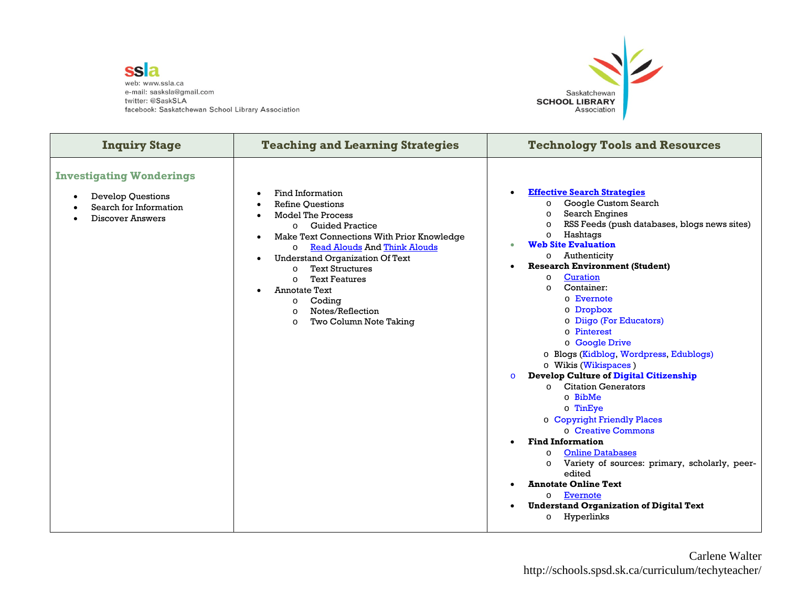ssla web: www.ssla.ca e-mail: sasksla@gmail.com twitter: @SaskSLA facebook: Saskatchewan School Library Association



| <b>Inquiry Stage</b>                                                                                             | <b>Teaching and Learning Strategies</b>                                                                                                                                                                                                                                                                                                                                                                                                   | <b>Technology Tools and Resources</b>                                                                                                                                                                                                                                                                                                                                                                                                                                                                                                                                                                                                                                                                                                                                                                                                                                                                                                                                                                   |
|------------------------------------------------------------------------------------------------------------------|-------------------------------------------------------------------------------------------------------------------------------------------------------------------------------------------------------------------------------------------------------------------------------------------------------------------------------------------------------------------------------------------------------------------------------------------|---------------------------------------------------------------------------------------------------------------------------------------------------------------------------------------------------------------------------------------------------------------------------------------------------------------------------------------------------------------------------------------------------------------------------------------------------------------------------------------------------------------------------------------------------------------------------------------------------------------------------------------------------------------------------------------------------------------------------------------------------------------------------------------------------------------------------------------------------------------------------------------------------------------------------------------------------------------------------------------------------------|
| <b>Investigating Wonderings</b><br><b>Develop Questions</b><br>Search for Information<br><b>Discover Answers</b> | Find Information<br><b>Refine Questions</b><br><b>Model The Process</b><br><b>O</b> Guided Practice<br>Make Text Connections With Prior Knowledge<br><b>Read Alouds And Think Alouds</b><br>$\circ$<br><b>Understand Organization Of Text</b><br><b>Text Structures</b><br>$\Omega$<br><b>Text Features</b><br>$\Omega$<br><b>Annotate Text</b><br>Coding<br>$\circ$<br>Notes/Reflection<br>$\Omega$<br>Two Column Note Taking<br>$\circ$ | <b>Effective Search Strategies</b><br>$\bullet$<br>Google Custom Search<br>$\circ$<br><b>Search Engines</b><br>$\circ$<br>RSS Feeds (push databases, blogs news sites)<br>$\circ$<br>Hashtags<br>$\circ$<br><b>Web Site Evaluation</b><br>Authenticity<br>$\circ$<br><b>Research Environment (Student)</b><br>Curation<br>$\circ$<br>Container:<br>$\Omega$<br>o Evernote<br>o Dropbox<br>o Diigo (For Educators)<br>o Pinterest<br>o Google Drive<br>o Blogs (Kidblog, Wordpress, Edublogs)<br>o Wikis (Wikispaces)<br><b>Develop Culture of Digital Citizenship</b><br>$\circ$<br><b>Citation Generators</b><br>$\Omega$<br>$\circ$ BibMe<br>$\circ$ TinEye<br>o Copyright Friendly Places<br>o Creative Commons<br><b>Find Information</b><br><b>Online Databases</b><br>$\circ$<br>Variety of sources: primary, scholarly, peer-<br>$\circ$<br>edited<br><b>Annotate Online Text</b><br>Evernote<br>$\circ$<br><b>Understand Organization of Digital Text</b><br>$\bullet$<br>Hyperlinks<br>$\circ$ |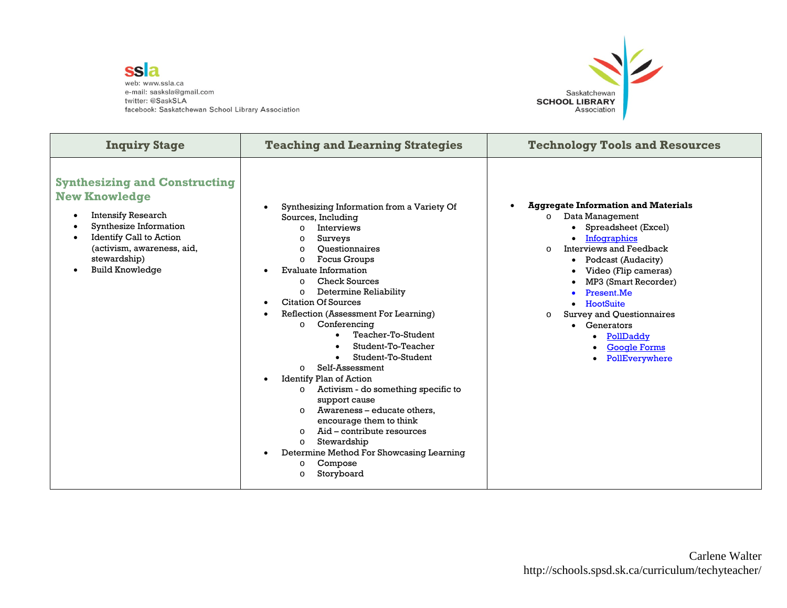ssla web: www.ssla.ca e-mail: sasksla@gmail.com twitter: @SaskSLA facebook: Saskatchewan School Library Association



| <b>Inquiry Stage</b>                                                                                                                                                                                                   | <b>Teaching and Learning Strategies</b>                                                                                                                                                                                                                                                                                                                                                                                                                                                                                                                                                                                                                                                                                                                                                                                                        | <b>Technology Tools and Resources</b>                                                                                                                                                                                                                                                                                                                                                |
|------------------------------------------------------------------------------------------------------------------------------------------------------------------------------------------------------------------------|------------------------------------------------------------------------------------------------------------------------------------------------------------------------------------------------------------------------------------------------------------------------------------------------------------------------------------------------------------------------------------------------------------------------------------------------------------------------------------------------------------------------------------------------------------------------------------------------------------------------------------------------------------------------------------------------------------------------------------------------------------------------------------------------------------------------------------------------|--------------------------------------------------------------------------------------------------------------------------------------------------------------------------------------------------------------------------------------------------------------------------------------------------------------------------------------------------------------------------------------|
| <b>Synthesizing and Constructing</b><br><b>New Knowledge</b><br><b>Intensify Research</b><br>Synthesize Information<br>Identify Call to Action<br>(activism, awareness, aid,<br>stewardship)<br><b>Build Knowledge</b> | Synthesizing Information from a Variety Of<br>Sources, Including<br><b>Interviews</b><br>$\Omega$<br>Surveys<br>$\Omega$<br>Ouestionnaires<br>$\Omega$<br><b>Focus Groups</b><br>$\Omega$<br><b>Evaluate Information</b><br>Check Sources<br>$\Omega$<br>Determine Reliability<br>$\circ$<br><b>Citation Of Sources</b><br>Reflection (Assessment For Learning)<br>Conferencing<br>$\Omega$<br>Teacher-To-Student<br>Student-To-Teacher<br>Student-To-Student<br>Self-Assessment<br>$\Omega$<br><b>Identify Plan of Action</b><br>$\bullet$<br>Activism - do something specific to<br>$\circ$<br>support cause<br>Awareness – educate others,<br>$\Omega$<br>encourage them to think<br>Aid – contribute resources<br>$\Omega$<br>Stewardship<br>$\circ$<br>Determine Method For Showcasing Learning<br>Compose<br>O<br>Storyboard<br>$\Omega$ | <b>Aggregate Information and Materials</b><br>Data Management<br>$\circ$<br>Spreadsheet (Excel)<br>Infographics<br><b>Interviews and Feedback</b><br>$\Omega$<br>Podcast (Audacity)<br>٠<br>Video (Flip cameras)<br>MP3 (Smart Recorder)<br>Present.Me<br>HootSuite<br>Survey and Questionnaires<br>$\Omega$<br>• Generators<br>• PollDaddy<br><b>Google Forms</b><br>PollEverywhere |